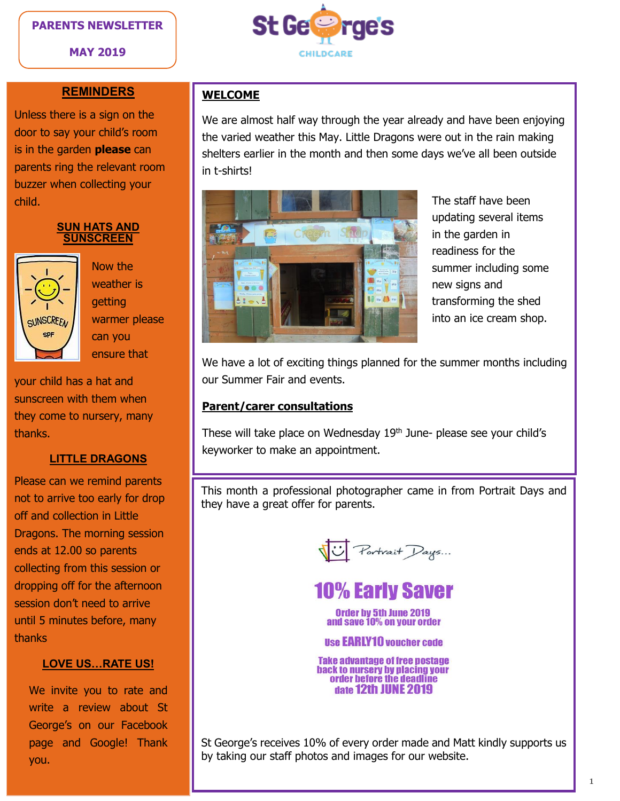## **PARENTS NEWSLETTER**

#### **MAY 2019**



## **REMINDERS**

Unless there is a sign on the door to say your child's room is in the garden **please** can parents ring the relevant room buzzer when collecting your child.

#### **SUN HATS AND SUNSCREEN**



Now the weather is getting warmer please can you ensure that

your child has a hat and sunscreen with them when<br>. they come to nursery, many thanks.

#### **LITTLE DRAGONS**

Please can we remind parents not to arrive too early for drop off and collection in Little Dragons. The morning session ends at 12.00 so parents collecting from this session or dropping off for the afternoon session don't need to arrive until 5 minutes before, many thanks

## **LOVE US…RATE US!**

We invite you to rate and write a review about St George's on our Facebook page and Google! Thank you.

# **WELCOME**

We are almost half way through the year already and have been enjoying the varied weather this May. Little Dragons were out in the rain making shelters earlier in the month and then some days we've all been outside in t-shirts!



The staff have been updating several items in the garden in readiness for the summer including some new signs and transforming the shed into an ice cream shop.

We have a lot of exciting things planned for the summer months including our Summer Fair and events.

## **Parent/carer consultations**

These will take place on Wednesday 19<sup>th</sup> June- please see your child's keyworker to make an appointment.

This month a professional photographer came in from Portrait Days and they have a great offer for parents.

Vertrait Days...

**10% Early Saver** 

**Order by 5th June 2019** and save 10% on your order

**Use EARLY10 voucher code** 

**Take advantage of free postage back to nursery by placing your<br>order before the deadline<br>date 12th JUNE 2019** 

St George's receives 10% of every order made and Matt kindly supports us by taking our staff photos and images for our website.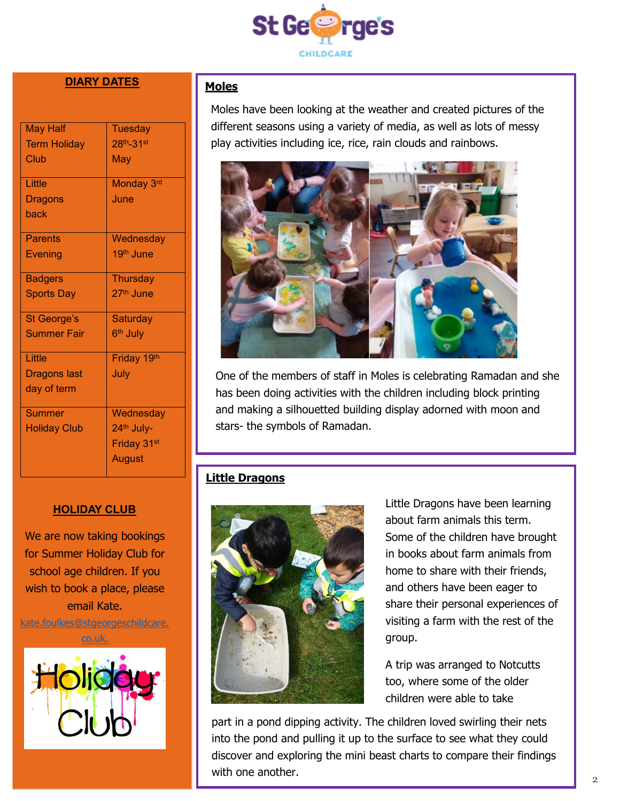

## **DIARY DATES**

| <b>May Half</b>     | <b>Tuesday</b>          |
|---------------------|-------------------------|
| <b>Term Holiday</b> | 28th <sub>-31st</sub>   |
| Club                | May                     |
|                     |                         |
| Little              | Monday 3rd              |
| <b>Dragons</b>      | June                    |
| <b>back</b>         |                         |
|                     |                         |
| <b>Parents</b>      | Wednesday               |
| Evening             | 19 <sup>th</sup> June   |
|                     |                         |
| <b>Badgers</b>      | <b>Thursday</b>         |
| <b>Sports Day</b>   | 27 <sup>th</sup> June   |
| <b>St George's</b>  | Saturday                |
| <b>Summer Fair</b>  | 6 <sup>th</sup> July    |
|                     |                         |
| Little              | Friday 19th             |
| <b>Dragons last</b> | July                    |
| day of term         |                         |
|                     |                         |
| <b>Summer</b>       | Wednesday               |
| <b>Holiday Club</b> | 24th July-              |
|                     | Friday 31 <sup>st</sup> |
|                     | August                  |
|                     |                         |
|                     |                         |

#### **HOLIDAY CLUB**

We are now taking bookings for Summer Holiday Club for school age children. If you wish to book a place, please email Kate.

[kate.foulkes@stgeorgeschildcare.](mailto:kate.foulkes@stgeorgeschildcare.co.uk)



## **Moles**

Moles have been looking at the weather and created pictures of the different seasons using a variety of media, as well as lots of messy play activities including ice, rice, rain clouds and rainbows.



One of the members of staff in Moles is celebrating Ramadan and she has been doing activities with the children including block printing and making a silhouetted building display adorned with moon and stars- the symbols of Ramadan.

## **Little Dragons**



Little Dragons have been learning about farm animals this term. Some of the children have brought in books about farm animals from home to share with their friends, and others have been eager to share their personal experiences of visiting a farm with the rest of the group.

A trip was arranged to Notcutts too, where some of the older children were able to take

part in a pond dipping activity. The children loved swirling their nets into the pond and pulling it up to the surface to see what they could discover and exploring the mini beast charts to compare their findings with one another.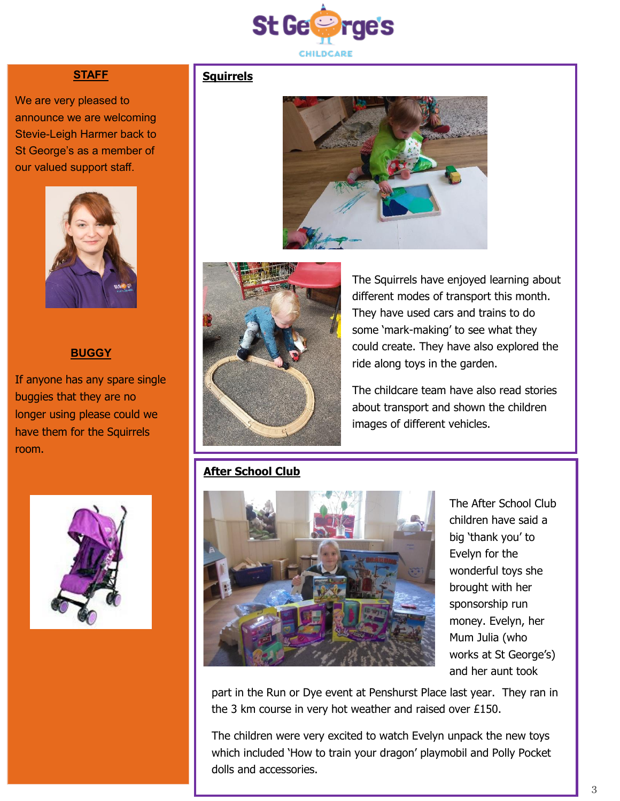

We are very pleased to announce we are welcoming Stevie-Leigh Harmer back to St George's as a member of our valued support staff.



## **BUGGY**

If anyone has any spare single buggies that they are no longer using please could we have them for the Squirrels room.



# **STAFF Squirrels**





The Squirrels have enjoyed learning about different modes of transport this month. They have used cars and trains to do some 'mark-making' to see what they could create. They have also explored the ride along toys in the garden.

The childcare team have also read stories about transport and shown the children images of different vehicles.

# **After School Club**



The After School Club children have said a big 'thank you' to Evelyn for the wonderful toys she brought with her sponsorship run money. Evelyn, her Mum Julia (who works at St George's) and her aunt took

part in the Run or Dye event at Penshurst Place last year. They ran in the 3 km course in very hot weather and raised over £150.

The children were very excited to watch Evelyn unpack the new toys which included 'How to train your dragon' playmobil and Polly Pocket dolls and accessories.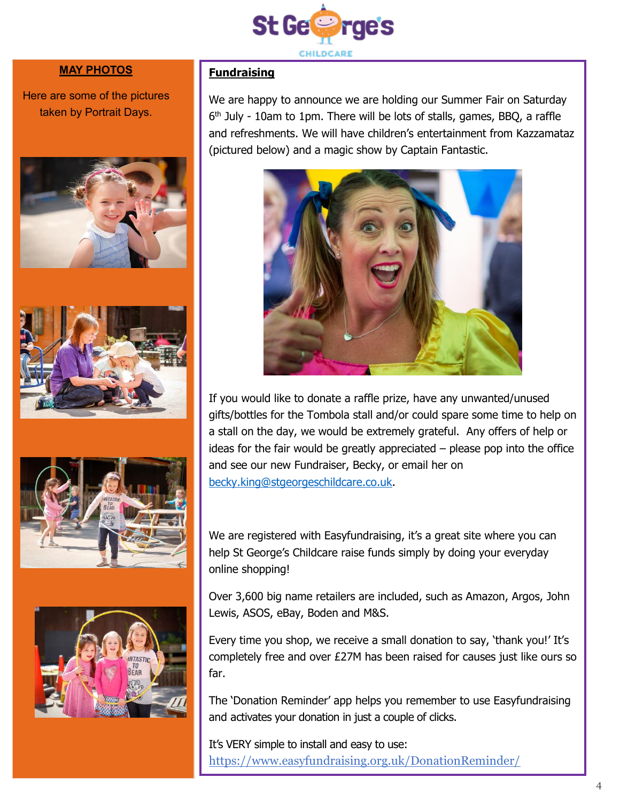

# **MAY PHOTOS**

Here are some of the pictures taken by Portrait Days.









# **Fundraising**

We are happy to announce we are holding our Summer Fair on Saturday 6<sup>th</sup> July - 10am to 1pm. There will be lots of stalls, games, BBQ, a raffle and refreshments. We will have children's entertainment from Kazzamataz (pictured below) and a magic show by Captain Fantastic.



If you would like to donate a raffle prize, have any unwanted/unused gifts/bottles for the Tombola stall and/or could spare some time to help on a stall on the day, we would be extremely grateful. Any offers of help or ideas for the fair would be greatly appreciated – please pop into the office and see our new Fundraiser, Becky, or email her on [becky.king@stgeorgeschildcare.co.uk.](mailto:becky.king@stgeorgeschildcare.co.uk)

We are registered with Easyfundraising, it's a great site where you can help St George's Childcare raise funds simply by doing your everyday online shopping!

Over 3,600 big name retailers are included, such as Amazon, Argos, John Lewis, ASOS, eBay, Boden and M&S.

Every time you shop, we receive a small donation to say, 'thank you!' It's completely free and over £27M has been raised for causes just like ours so far.

The 'Donation Reminder' app helps you remember to use Easyfundraising and activates your donation in just a couple of clicks.

It's VERY simple to install and easy to use: <https://www.easyfundraising.org.uk/DonationReminder/>